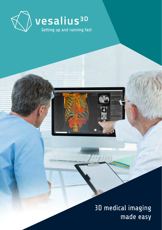

3D medical imaging made easy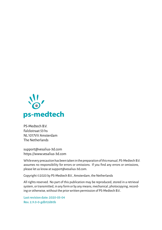

PS-Medtech B.V. Falckstraat 53 hs NL 1017VV Amsterdam The Netherlands

[support@vesalius-3d.com](mailto:support@vesalius-3d.com) <https://www.vesalius-3d.com>

While every precaution has been taken in the preparation of this manual, PS-Medtech B.V. assumes no responsibility for errors or omissions. If you find any errors or omissions, please let us know at [support@vesalius-3d.com.](mailto:support@vesalius-3d.com)

Copyright©2020 by PS-Medtech B.V., Amsterdam, the Netherlands

All rights reserved. No part of this publication may be reproduced, stored in a retrieval system, or transmitted, in any form or by any means, mechanical, photocopying, recording or otherwise, without the prior written permission of PS-Medtech B.V..

**Last revision date: 2020-05-04 Rev. 2.9.0-0-gdb12d80b**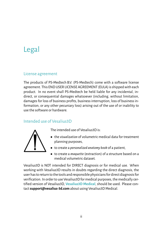# <span id="page-2-0"></span>Legal

#### <span id="page-2-1"></span>License agreement

The products of PS-Medtech B.V. (PS-Medtech) come with a software license agreement. This END USER LICENSE AGREEMENT (EULA) is shipped with each product. In no event shall PS-Medtech be held liable for any incidental, indirect, or consequential damages whatsoever (including, without limitation, damages for loss of business profits, business interruption, loss of business information, or any other pecuniary loss) arising out of the use of or inability to use the software or hardware.

## <span id="page-2-2"></span>Intended use of Vesalius3D



The intended use of Vesalius3D is:

- the *visualization* of volumetric medical data for treatment planning purposes,
- to create a *personalized anatomy book* of a patient,
- to create a *maquette*(extraction) of a structure based on a medical volumetric dataset.

Vesalius3D is NOT intended for DIRECT diagnosis or for medical use. When working with Vesalius3D results in doubts regarding the direct diagnosis, the user has to return to the tools and responsible physicians for direct diagnosis for verification. In order to use Vesalius3D for medical purposes, the medically certified version of Vesalius3D, **Vesalius3D Medical**, should be used. Please contact**[support@vesalius-3d.com](mailto:support@vesalius-3d.com)** about using Vesalius3D Medical.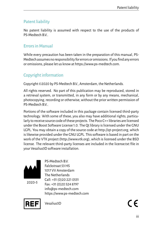## <span id="page-3-0"></span>Patent liability

No patent liability is assumed with respect to the use of the products of PS-Medtech B.V..

## <span id="page-3-1"></span>Errors in Manual

While every precaution has been taken in the preparation of this manual, PS-Medtech assumes no responsibility for errors oromissions. If you find any errors or omissions, please let us know at [https://www.ps-medtech.com.](https://www.ps-medtech.com)

## <span id="page-3-2"></span>Copyright information

Copyright©2020 by PS-Medtech B.V., Amsterdam, the Netherlands.

All rights reserved. No part of this publication may be reproduced, stored in a retrieval system, or transmitted, in any form or by any means, mechanical, photocopying, recording or otherwise, without the prior written permission of PS-Medtech B.V..

Portions of the software included in this package contain licensed third-party technology. With some of these, you also may have additional rights, particularly to receive source code of these projects. The Poco C++ libraries are licensed under the Boost Software License 1.0. The Qt library is licensed under the GNU LGPL. You may obtain a copy of the source code at [http://qt-project.org,](http://qt-project.org) which is likewise provided under the GNU LGPL. This software is based in part on the work of the VTK project [\(http://www.vtk.org\)](http://www.vtk.org), which is licensed under the BSD license. The relevant third-party licenses are included in the license.txt file in your Vesalius3D software installation.



2020-5

PS-Medtech B.V. Falckstraat 53 HS 1017 VV Amsterdam The Netherlands Call: +31 (0)20 221 0531 Fax: +31 (0)20 524 8797 [info@ps-medtech.com](mailto:info@ps-medtech.com) <https://www.ps-medtech.com>



Vesalius3D

(C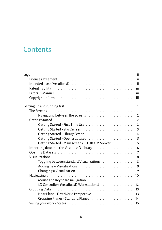## **Contents**

| Legal                                                                                                          | ïί             |
|----------------------------------------------------------------------------------------------------------------|----------------|
| License agreement results and containing the contact to the contact the contact to the contact the contact to  | ii             |
|                                                                                                                | ii             |
|                                                                                                                | iii            |
|                                                                                                                | iii            |
| Copyright information $\ldots \ldots \ldots \ldots \ldots \ldots \ldots \ldots \ldots$                         | iii            |
| Getting up and running fast                                                                                    | $\mathbf{1}$   |
|                                                                                                                | $\mathbf{1}$   |
| Navigating between the Screens                                                                                 | 2              |
| Cetting Started research research research research and a started research research research research research | $\overline{2}$ |
|                                                                                                                | $\overline{2}$ |
|                                                                                                                | 3              |
|                                                                                                                | $\overline{4}$ |
| Getting Started - Open a dataset                                                                               | 5              |
| Getting Started - Main screen / 3D DICOM Viewer                                                                | 5              |
| Importing data into the Vesalius3D Library Table Robert Robert Robert Robert Robert Robert Robert Ro           | 6              |
|                                                                                                                | $\overline{7}$ |
|                                                                                                                | 8              |
| Toggling between standard Visualizations                                                                       | 8              |
|                                                                                                                | 9              |
|                                                                                                                | 9              |
|                                                                                                                | 10             |
| Mouse and Keyboard navigation                                                                                  | 11             |
| 3D Controllers (Vesalius 3D Workstations)                                                                      | 12             |
|                                                                                                                | 13             |
| Near Plane - First World Perspective                                                                           | 13             |
| Cropping Planes - Standard Planes                                                                              | 14             |
|                                                                                                                | 15             |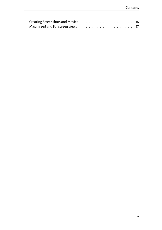| Maximized and Fullscreen views resources and contact to the contract of the Maximized and Fullscreen |  |  |  |  |  |  |  |  |  |  |
|------------------------------------------------------------------------------------------------------|--|--|--|--|--|--|--|--|--|--|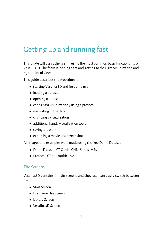# <span id="page-6-0"></span>Getting up and running fast

This guide will assist the user in using the most common basic functionality of Vesalius3D. The focus is loading data and getting to the right Visualization and right point of view.

This guide describes the procedure for:

- starting Vesalius3D and first time use
- loading a dataset
- opening a dataset
- choosing a visualization / using a protocol
- navigating in the data
- changing a visualization
- additional handy visualization tools
- saving the work
- exporting a movie and screenshot

All images and examples were made using the free Demo Dataset:

- Demo Dataset: CT Cardio CHN, Series: 75%
- Protocol: CT all multicurve I

#### <span id="page-6-1"></span>The Screens

Vesalius3D contains 4 main screens and they user can easily switch between them:

- Start Screen
- First Time Use Screen
- Library Screen
- Vesalius3D Screen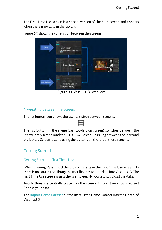The First Time Use screen is a special version of the Start screen and appears when there is no data in the Library.



Figure [0.1](#page-7-3) shows the correlation between the screens

<span id="page-7-3"></span>Figure 0.1: Vesalius3D Overview

#### <span id="page-7-0"></span>Navigating between the Screens

The list button icon allows the user to switch between screens.

The list button in the menu bar (top-left on screen) switches between the Start/Library screensand the 3DDICOMScreen. Toggling between theStartand the Library Screen is done using the buttons on the left of those screens.

## <span id="page-7-1"></span>Getting Started

#### <span id="page-7-2"></span>Getting Started - First Time Use

When opening Vesalius3D the program starts in the First Time Use screen. As there is no data in the Library the user first has to load data into Vesalius3D. The First Time Use screen assists the user to quickly locate and upload the data.

Two buttons are centrally placed on the screen; Import Demo Dataset and Choose your data.

The **Import Demo Dataset** button installs the Demo Dataset into the Library of Vesalius3D.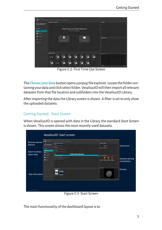

Figure 0.2: First Time Use Screen

The**Chooseyour data**buttonopens a popup file explorer. Locate the folder containing your data and click select folder. Vesalius3Dwill then import all relevant datasets from that file location and subfolders into the Vesalius3D Library.

After importing the data the Library screen is shown. A filter is set to only show the uploaded datasets.

#### <span id="page-8-0"></span>Getting Started - Start Screen

When Vesalius3D is opened with data in the Library the standard Start Screen is shown. This screen shows the most recently used datasets.

|                                    |                                                                                  | Vesalius3D: Start screen                                                |                         |              |                                            |
|------------------------------------|----------------------------------------------------------------------------------|-------------------------------------------------------------------------|-------------------------|--------------|--------------------------------------------|
| <b>Recently opened</b><br>datasets | $\overline{\mathbf{z}}$ . The contract of the contract of<br>$\bigcirc$ vession" | $-2.002 - 0.001$<br>Chevrolet Street<br>-<br>Acres<br><b>Definition</b> |                         |              | $-14$<br>Saved work                        |
| Switch to library<br>Import data   | -<br>ਵ<br>۰.<br>$\overline{\phantom{a}}$                                         | <b>CT 19.34</b><br>$0 - 1$<br><b>Last Figure</b><br><b>COVA</b><br>er u | <b>Selected dataset</b> | designations |                                            |
|                                    | $\circ$                                                                          | an i                                                                    |                         |              | <b>Standard starting</b><br>visualizations |
| <b>Help information</b>            |                                                                                  | <b>George Started</b>                                                   |                         |              | Preview                                    |
|                                    |                                                                                  |                                                                         |                         |              |                                            |
| <b>NOT BUSINE</b>                  |                                                                                  | --                                                                      | $- - - -$               |              |                                            |

Figure 0.3: Start Screen

The main functionality of the dashboard layout is to: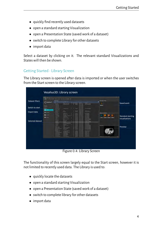- quickly find recently used datasets
- open a standard starting Visualization
- open a Presentation State (saved work of a dataset)
- switch to complete Library for other datasets
- import data

Select a dataset by clicking on it. The relevant standard Visualizations and States will then be shown.

#### <span id="page-9-0"></span>Getting Started - Library Screen

The Library screen is opened after data is imported or when the user switches from the Start screen to the Library screen.

| <b>Dataset filters</b><br><b><i><u>STATES STAT</u></i></b><br>$\bigcirc$ vesalius <sup>10</sup><br>Saved work<br>۰<br><b>COLLANS</b><br><b>Telephone</b><br>---<br><b>Sellen</b><br><b>Service</b><br><b>COLLEGE</b><br>Switch to start<br><b>PSIN SCALE</b><br><b>Photograph</b><br>$\mathbf{N}$<br><b>Windows</b><br><b>BREAKER</b><br>$\sim$<br>--<br>Import data<br><b>MA DISTURBS</b><br><b>PERSONAL</b><br><b>Terry Indiana</b><br><b>CONTRACT</b><br>PERMIT<br><b>North Little</b><br>-------<br><br>of New York<br>harters<br><b>FRA FIRST</b><br><b>BALLASTER</b><br>16.000<br><b>Standard starting</b><br><b>Chans</b><br><b><i><u>INSTER</u></i></b><br>ESSAY<br><b>Santa</b><br><b>ALCOHOL</b><br>$\sim$<br>-- |  |
|----------------------------------------------------------------------------------------------------------------------------------------------------------------------------------------------------------------------------------------------------------------------------------------------------------------------------------------------------------------------------------------------------------------------------------------------------------------------------------------------------------------------------------------------------------------------------------------------------------------------------------------------------------------------------------------------------------------------------|--|
|                                                                                                                                                                                                                                                                                                                                                                                                                                                                                                                                                                                                                                                                                                                            |  |
|                                                                                                                                                                                                                                                                                                                                                                                                                                                                                                                                                                                                                                                                                                                            |  |
|                                                                                                                                                                                                                                                                                                                                                                                                                                                                                                                                                                                                                                                                                                                            |  |
|                                                                                                                                                                                                                                                                                                                                                                                                                                                                                                                                                                                                                                                                                                                            |  |
| 0<br>≈.<br>visualizations<br>-<br><b>ALCOHOL:</b><br>-<br>--<br>---                                                                                                                                                                                                                                                                                                                                                                                                                                                                                                                                                                                                                                                        |  |
| $\equiv$<br>-<br><b><i><u>PECAMENT</u></i></b><br><b><i><u>ALCOHOL</u></i></b><br><b>Selected dataset</b><br><b>March 1974</b><br><b>STILRING</b><br><b>WATERS</b><br>$=$<br>$-100$<br>SAINA<br><b>PERSONAL</b>                                                                                                                                                                                                                                                                                                                                                                                                                                                                                                            |  |
| $-$<br>$-$<br>--<br><b>CENTRE</b><br><b>PSYCHIAM</b>                                                                                                                                                                                                                                                                                                                                                                                                                                                                                                                                                                                                                                                                       |  |
| If the Lares<br><b>ALCOHOL:</b><br><b>Continued Card</b><br>---------<br>$-$<br><b>Distance</b><br>LEE IN<br><b>AFTER AVENUE</b><br>AFJ'WHALE<br>Preview<br><b>Latin</b><br>ar jun has<br>$\overline{\phantom{a}}$<br>Wiserston<br><b><i><u>PACKAGE</u></i></b><br>$-$                                                                                                                                                                                                                                                                                                                                                                                                                                                     |  |
| <b>There</b><br>٠<br>$-$<br><b>PERMIT</b><br>$-100$<br>--<br>۰<br><b>COMPANY</b><br>---<br>$\sim$                                                                                                                                                                                                                                                                                                                                                                                                                                                                                                                                                                                                                          |  |
| $\overline{\phantom{a}}$<br><b>Little</b><br><b>STILRING</b><br><b>The State of</b><br>$\overline{\phantom{a}}$<br><b>NOME</b><br><b>MEND CON</b><br><b>SHARE</b><br><b>TA</b> Armstral<br><b>MILL SHE</b>                                                                                                                                                                                                                                                                                                                                                                                                                                                                                                                 |  |
|                                                                                                                                                                                                                                                                                                                                                                                                                                                                                                                                                                                                                                                                                                                            |  |
| 34,644<br><b>All Calls</b><br>$-$<br>$-1$<br><b>Car On</b><br>$1 - 1$                                                                                                                                                                                                                                                                                                                                                                                                                                                                                                                                                                                                                                                      |  |

Figure 0.4: Library Screen

The functionality of this screen largely equal to the Start screen, however it is not limited to recently used data. The Library is used to:

- quickly locate the datasets
- open a standard starting Visualization
- open a Presentation State (saved work of a dataset)
- switch to complete library for other datasets
- import data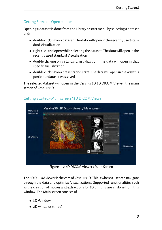## <span id="page-10-0"></span>Getting Started - Open a dataset

Opening a dataset is done from the Library or start menu by selecting a dataset and:

- double clickingon a dataset. The datawillopenin the recently used standard Visualization
- right click and openwhile selecting the dataset. The datawill open in the recently used standard Visualization
- double clicking on a standard visualization. The data will open in that specific Visualization
- double clickingon a presentation state. The datawillopenin theway this particular dataset was saved

The selected dataset will open in the Vesalius3D 3D DICOM Viewer, the main screen of Vesalius3D.



## <span id="page-10-1"></span>Getting Started - Main screen / 3D DICOM Viewer

Figure 0.5: 3D DICOM Viewer / Main Screen

The 3D DICOM viewer is the core of Vesalius3D. This is where a user can navigate through the data and optimize Visualizations. Supported functionalities such as the creation of movies and extractions for 3D printing are all done from this window. The Main screen consists of:

- 3D Window
- 2D windows (three)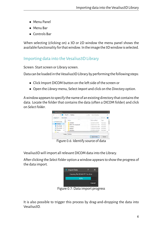- Menu Panel
- Menu Bar
- Controls Bar

When selecting (clicking on) a 3D or 2D window the menu panel shows the available functionality for thatwindow. In the image the 3Dwindow is selected.

## <span id="page-11-0"></span>Importing data into the Vesalius3D Library

Screen: Start screen or Library screen.

Data can be loaded in the Vesalius3D Library by performing the following steps:

- Click Import DICOM button on the left side of the screen or
- Open the *Library* menu, Select *Import* and click on the *Directory* option.

Awindow appears to specify the name of an existing directory that contains the data. Locate the folder that contains the data (often a DICOM folder) and click on *Select Folder*.

| Import Directory                       |                                 |                                  |          |                                         |                            | × |
|----------------------------------------|---------------------------------|----------------------------------|----------|-----------------------------------------|----------------------------|---|
| $\leftarrow$<br>$-79$                  | ×                               | This PC > Desktop                | $\vee$ 0 | Starch Designer                         |                            | D |
| Organise ·                             | New folder                      |                                  |          |                                         | $=$ $\bullet$              |   |
| <b>Cuick access</b><br>ب               |                                 | Name                             |          | Date modified                           | 7 <sub>1</sub>             |   |
| Desidop                                |                                 | 20190401<br>BETA-3721-Vesalius3D |          | 4/3/2019 5:25 PM<br>4/5/2/19 10:17 AM   | File folder<br>File Inklas |   |
| <b>L</b> Dewnloads<br><b>Documents</b> | . .<br>$\overline{\phantom{a}}$ | cd demo<br>desktop               |          | 3/14/2019 8:53 AM<br>1/29/2019 12:04 PM | File Folder<br>File Folder |   |
| Pictures<br>عدة ال                     | $\overline{\phantom{a}}$        | dud drive                        |          | 2/2/2019 12:35 PM                       | File Folder                |   |
|                                        | Folden Desktop                  |                                  |          |                                         |                            |   |
|                                        |                                 |                                  |          | Select Folder                           | Cancel                     |   |

Figure 0.6: Identify source of data

Vesalius3D will import all relevant DICOM data into the Library.

After clicking the *Select Folder* option a window appears to show the progress of the data import.

| <b>Import Data</b>             |  |        |
|--------------------------------|--|--------|
| Copying file EE5AD7F7 to drive |  |        |
| 82%                            |  |        |
|                                |  | Cancel |

Figure 0.7: Data import progress

It is also possible to trigger this process by drag-and-dropping the data into Vesalius3D.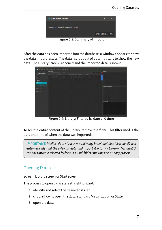

Figure 0.8: Summary of import

After the data has been imported into the database, a window appears to show the data import results. The data list is updated automatically to show the new data. The Library screen is opened and the imported data is shown.



Figure 0.9: Library: Filtered by date and time

To see the entire content of the library, remove the filter. This filter used is the data and time of when the data was imported.

*IMPORTANT: Medical data often consist of many individual files. Vesalius3D will automatically find the relevant data and import it into the Library. Vesalius3D searches into the selected folder and all subfolders making this an easy process.*

## <span id="page-12-0"></span>Opening Datasets

Screen: Library screen or Start screen.

The process to open datasets is straightforward.

- 1. identify and select the desired dataset
- 2. choose how to open the data, standard Visualization or State
- 3. open the data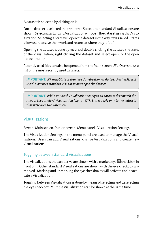A dataset is selected by clicking on it.

Once a dataset is selected the applicable States and standard Visualizations are shown. Selectinga standard Visualizationwillopen the dataset using that Visualization. Selecting a State will open the dataset in the way it was saved. States allow users to save their work and return to where they left off.

Opening the dataset is done by means of double clicking the dataset, the state, or the visualization, right clicking the dataset and select open, or the open dataset button.

Recently used files can also be opened from the Main screen. *File, Open* shows a list of the most recently used datasets.

*IMPORTANT:WhennoStateor standardVisualizationis selected. Vesalius3Dwill use the last used standard Visualization to open the dataset.*

*IMPORTANT: While standard Visualizations apply to all datasets that match the rules of the standard visualization (e.g. all CT), States apply only to the datasets that were used to create them.*

## <span id="page-13-0"></span>Visualizations

Screen: Main screen. Part on screen: Menu panel - Visualization Settings

The Visualization Settings in the menu panel are used to manage the Visualizations. Users can add Visualizations, change Visualizations and create new Visualizations.

#### <span id="page-13-1"></span>Toggling between standard Visualizations

The Visualizations that are active are shown with a marked eve  $\bullet$  checkbox in front of it. Other standard Visualizations are shown with the eye checkbox unmarked. Marking and unmarking the eye checkboxes will activate and deactivate a Visualization.

Toggling between Visualizations is done by means of selecting and deselecting the eye checkbox. Multiple Visualizations can be shown at the same time.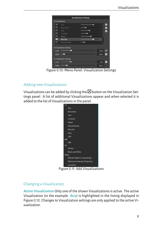

Figure 0.10: Menu Panel: Visualization Settings

#### <span id="page-14-0"></span>Adding new Visualizations

Visualizations can be added by clicking the  $\bigoplus$  button on the Visualization Settings panel. A list of additional Visualizations appear and when selected it is added to the list of Visualizations in the panel.



Figure 0.11: Add Visualizations

#### <span id="page-14-1"></span>Changing a Visualization

**Active Visualization** Only one of the shown Visualizations is active. The active Visualization (in the example: **Airy**) is highlighted in the listing displayed in Figure [0.12.](#page-15-1) Changes to Visualization settings are only applied to the active Visualization.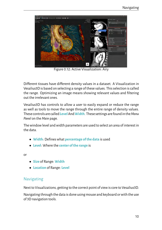<span id="page-15-1"></span>

Figure 0.12: Active Visualization: Airy

Different tissues have different density values in a dataset. A Visualization in Vesalius3D is based on selecting a range of these values. This selection is called the range. Optimizing an image means showing relevant values and filtering out the irrelevant ones.

Vesalius3D has controls to allow a user to easily expand or reduce the range as well as tools to move the range through the entire range of density values. These controlsare called**Level**And**Width**. These settingsare foundin the*Menu Panel* on the *Main* page.

The window level and width parameters are used to select an area of interest in the data.

- **Width**: Defines what **percentage of the data** is used
- **Level**: Where the **center of the range** is

or

- **Size** of Range: **Width**
- **Location** of Range: **Level**

#### <span id="page-15-0"></span>Navigating

Next to Visualizations, getting to the correct point of view is core to Vesalius3D.

Navigating through the data is done using mouse and keyboard or with the use of 3D navigation tools.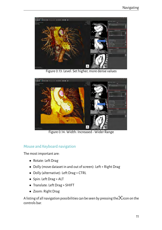

Figure 0.13: Level: Set higher, more dense values



Figure 0.14: Width: Increased - Wider Range

#### <span id="page-16-0"></span>Mouse and Keyboard navigation

The most important are:

- Rotate: Left Drag
- Dolly (move dataset in and out of screen): Left + Right Drag
- Dolly (alternative): Left Drag + CTRL
- Spin: Left Drag + ALT
- Translate: Left Drag + SHIFT
- Zoom: Right Drag

A listing of all navigation possibilities can be seen by pressing the  $\mathbb K$  icon on the controls bar.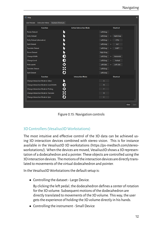| <b>Q</b> Help                                                                 |                                |                                             | $\times$      |
|-------------------------------------------------------------------------------|--------------------------------|---------------------------------------------|---------------|
| <b>Keyboard Shortcuts</b><br><b>User Manuals</b><br><b>Instruction Videos</b> |                                |                                             |               |
| <b>Function</b>                                                               | <b>Active Interaction Mode</b> | <b>Shortcut</b>                             |               |
| <b>Rotate Dataset</b>                                                         |                                | Left Drag                                   |               |
| <b>Dolly Dataset</b>                                                          | м                              | <b>Right Drag</b><br>Left Drag<br>$\ddot{}$ |               |
|                                                                               | チド                             |                                             |               |
| <b>Dolly Dataset (alternative)</b>                                            |                                | Left Drag<br>÷                              | <b>CTRL</b>   |
| <b>Spin Dataset</b>                                                           |                                | Left Drag<br>÷                              | <b>ALT</b>    |
| <b>Translate Dataset</b>                                                      |                                | Left Drag<br>$\ddot{}$                      | <b>SHIFT</b>  |
| <b>Zoom Dataset</b>                                                           |                                | Right Drag                                  |               |
| Change Width                                                                  | このものとと                         | Left Drag<br>Horizontal<br>$\ddot{}$        |               |
| Change Level                                                                  |                                | Left Drag<br>$\ddot{}$                      | Vertical      |
| Pick a point                                                                  |                                | Left Click<br>Left Click<br>$+$             |               |
| <b>Translate Dataset</b>                                                      |                                | Left Drag                                   |               |
| <b>Spin Dataset</b>                                                           | Ö                              | Left Drag                                   |               |
| <b>Function</b>                                                               | <b>Interaction Mode</b>        | <b>Shortcut</b>                             |               |
| Change Interaction Mode to Select                                             | ĸ                              | s                                           |               |
| Change Interaction Mode to Level/Width                                        | $\frac{1}{2}$                  | W                                           |               |
| Change Interaction Mode to Picking                                            |                                | P.                                          |               |
| Change Interaction Mode to Translate                                          |                                | M.                                          |               |
| Change Interaction Mode to Spin                                               | ひ                              | c                                           |               |
|                                                                               |                                |                                             |               |
|                                                                               |                                |                                             | Close<br>Open |

Figure 0.15: Navigation controls

#### <span id="page-17-0"></span>3D Controllers (Vesalius3D Workstations)

The most intuitive and effective control of the 3D data can be achieved using 3D interaction devices combined with stereo vision. This is for instance available in the Vesalius3D 3D workstations (https://ps-medtech.com/stereoworkstations/). When the devices are moved, Vesalius3D shows a 3D representation of a dodecahedron and a pointer. These objects are controlled using the 3D interaction devices. The motions of the interaction devices are directly translated to movements of the virtual dodecahedron and pointer.

In the Vesalius3D Workstations the default setup is:

• Controlling the dataset - Large Device.

By clicking the left pedal, the dodecahedron defines a center of rotation for the 3D volume. Subsequent motions of the dodecahedron are directly translated to movements of the 3D volume. This way, the user gets the experience of holding the 3D volume directly in his hands.

• Controlling the instrument - Small Device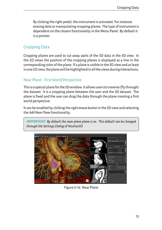By clicking the right pedal, the instrument is activated. For instance erasing data or manipulating cropping planes. The type of instrument is dependent on the chosen functionality in the Menu Panel. By default it is a pointer.

## <span id="page-18-0"></span>Cropping Data

Cropping planes are used to cut away parts of the 3D data in the 3D view. In the 2D views the position of the cropping planes is displayed as a line in the corresponding color of the plane. If a plane is visible in the 3D view and at least in one 2D view, the plane will be highlighted in all the views during interactions.

#### <span id="page-18-1"></span>Near Plane - First World Perspective

This is a special plane for the 3Dwindow. It allows users to traverse(fly through) the dataset. It is a cropping plane between the user and the 3D dataset. The plane is fixed and the user can drag the data through the plane creating a first world perspective.

It can be enabled by clicking the *right mouse button* in the 3D view and selecting the *Add Near Plane*functionality.

*IMPORTANT: By default the near plane plane is on. This default can be changed through the Settings Dialog of Vesalius3D*



Figure 0.16: Near Plane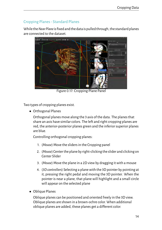## <span id="page-19-0"></span>Cropping Planes - Standard Planes

While the*NearPlane*is fixed and the datais pulled through, the standard planes are connected to the dataset.



Figure 0.17: Cropping Plane Panel

Two types of cropping planes exist.

• Orthogonal Planes

Orthogonal planes move along the 3 axis of the data. The planes that share an axis have similar colors. The left and right cropping planes are red, the anterior-posterior planes green and the inferior superior planes are blue.

Controlling orthogonal cropping planes:

- 1. (*Mouse*) Move the sliders in the Cropping panel
- 2. (*Mouse*) Center the plane by right-clicking the slider and clicking on Center Slider
- 3. (*Mouse*) Move the plane in a 2D view by dragging it with a mouse
- 4. (*3D controllers*) Selecting a plane with the 3D pointer by pointing at it, pressing the right pedal and moving the 3D pointer. When the pointer is near a plane, that plane will highlight and a small circle will appear on the selected plane
- Oblique Planes

Oblique planes can be positioned and oriented freely in the 3D view. Oblique planes are shown in a brown-ochre color. When additional oblique planes are added, these planes get a different color.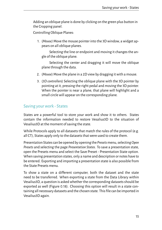Adding an oblique plane is done by clicking on the green plus button in the Cropping panel.

Controlling Oblique Planes:

1. (*Mouse)* Move the mouse pointer into the 3D window, a widget appears on all oblique planes.

Selecting the line or endpoint and moving it changes the angle of the oblique plane.

Selecting the center and dragging it will move the oblique plane through the data.

- 2. (*Mouse*) Move the plane in a 2D view by dragging it with a mouse.
- 3. (*3D controllers*) Selecting the oblique plane with the 3D pointer by pointing at it, pressing the right pedal and moving the 3D pointer. When the pointer is near a plane, that plane will highlight and a small circle will appear on the corresponding plane.

#### <span id="page-20-0"></span>Saving your work - States

States are a powerful tool to store your work and show it to others. States contain the information needed to restore Vesalius3D to the situation of Vesalius3D at the moment of saving the state.

While Protocols apply to all datasets that match the rules of the protocol (e.g. all CT), States apply only to the datasets that were used to create them.

Presentation States can be opened by opening the *Presets* menu, selecting*Open Presets* and selecting the page *Presentation States*. To save a presentation state, open the Presets menu and select the Save Preset - Presentation State option. When saving presentation states, only a name and description or notes have to be entered. Exporting and importing a presentation state is also possible from the State Presets menu.

To show a state on a different computer, both the dataset and the state need to be transferred. When exporting a state from the Data Library within Vesalius3D, a question is asked whether the corresponding datasets should be exported as well (Figure [0.18\)](#page-21-1). Choosing this option will result in a state containing all necessary datasets and the chosen state. This file can be imported in Vesalius3D again.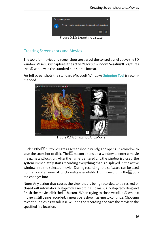<span id="page-21-1"></span>

## <span id="page-21-0"></span>Creating Screenshots and Movies

The tools for movies and screenshots are part of the control panel above the 3D window. Vesalius3D captures the active 2D or 3D window. Vesalius3D captures the 3D window in the standard non stereo format.

For full screenshots the standard Microsoft Windows **Snipping Tool** is recommended.



Figure 0.19: Snapshot And Movie

Clicking the  $\bullet$  button creates a screenshot instantly, and opens up a window to save the snapshot to disk. The  $\Box$  button opens up a window to enter a movie file name and location. After the name is entered and the window is closed, the system immediately starts recording everything that is displayed in the active window into the selected movie. During recording, the software can be used normally and all normal functionality is available. During recording the  $\Box$  button changes into  $\square$ .

Note: Any action that causes the view that is being recorded to be resized or closedwill automatically stopmovie recording. Tomanually stop recording and finish the movie, click the  $\square$  button. When trying to close Vesalius3D while a movie is still being recorded, a message is shown asking to continue. Choosing to continue closing Vesalius3D will end the recording and save the movie to the specified file location.